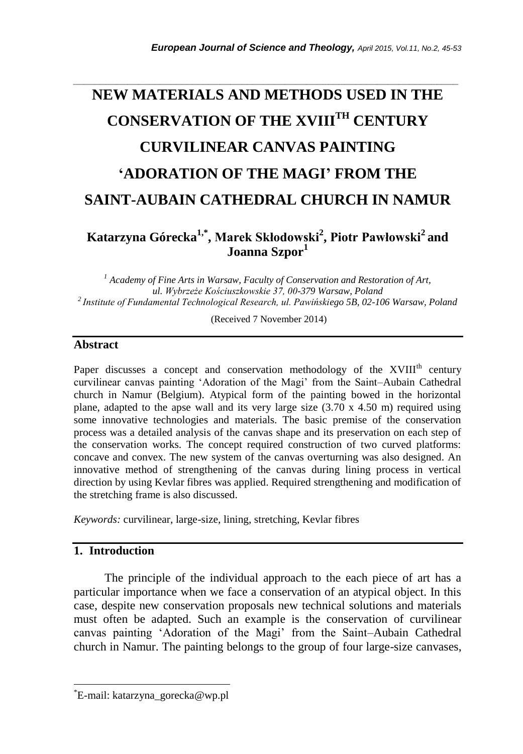# **NEW MATERIALS AND METHODS USED IN THE CONSERVATION OF THE XVIIITH CENTURY CURVILINEAR CANVAS PAINTING 'ADORATION OF THE MAGI' FROM THE SAINT-AUBAIN CATHEDRAL CHURCH IN NAMUR**

*\_\_\_\_\_\_\_\_\_\_\_\_\_\_\_\_\_\_\_\_\_\_\_\_\_\_\_\_\_\_\_\_\_\_\_\_\_\_\_\_\_\_\_\_\_\_\_\_\_\_\_\_\_\_\_\_\_\_\_\_\_\_\_\_\_\_\_\_\_\_\_*

## **Katarzyna Górecka1,\* , Marek Skłodowski<sup>2</sup> , Piotr Pawłowski<sup>2</sup> and Joanna Szpor<sup>1</sup>**

*<sup>1</sup> Academy of Fine Arts in Warsaw, Faculty of Conservation and Restoration of Art, ul. Wybrzeże Kościuszkowskie 37, 00-379 Warsaw, Poland <sup>2</sup>Institute of Fundamental Technological Research, ul. Pawińskiego 5B, 02-106 Warsaw, Poland*

(Received 7 November 2014)

#### **Abstract**

Paper discusses a concept and conservation methodology of the  $XVIII<sup>th</sup>$  century curvilinear canvas painting 'Adoration of the Magi' from the Saint–Aubain Cathedral church in Namur (Belgium). Atypical form of the painting bowed in the horizontal plane, adapted to the apse wall and its very large size  $(3.70 \times 4.50 \text{ m})$  required using some innovative technologies and materials. The basic premise of the conservation process was a detailed analysis of the canvas shape and its preservation on each step of the conservation works. The concept required construction of two curved platforms: concave and convex. The new system of the canvas overturning was also designed. An innovative method of strengthening of the canvas during lining process in vertical direction by using Kevlar fibres was applied. Required strengthening and modification of the stretching frame is also discussed.

*Keywords:* curvilinear, large-size, lining, stretching, Kevlar fibres

## **1. Introduction**

l

The principle of the individual approach to the each piece of art has a particular importance when we face a conservation of an atypical object. In this case, despite new conservation proposals new technical solutions and materials must often be adapted. Such an example is the conservation of curvilinear canvas painting 'Adoration of the Magi' from the Saint–Aubain Cathedral church in Namur. The painting belongs to the group of four large-size canvases,

<sup>\*</sup>E-mail: katarzyna\_gorecka@wp.pl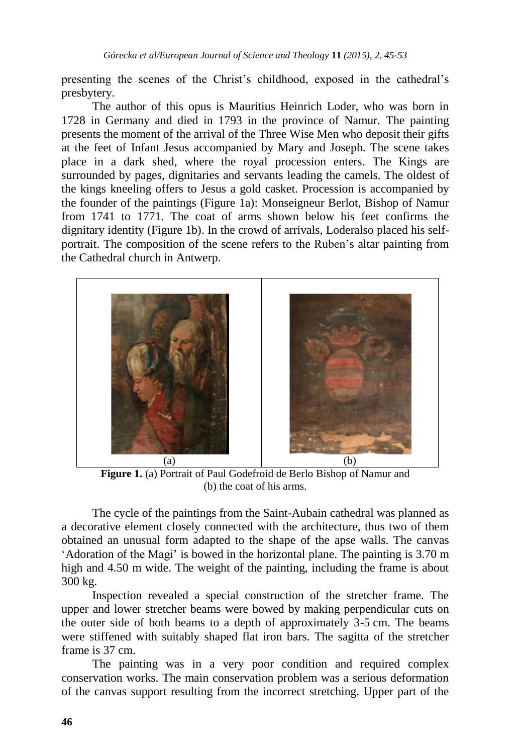presenting the scenes of the Christ's childhood, exposed in the cathedral's presbytery.

The author of this opus is Mauritius Heinrich Loder, who was born in 1728 in Germany and died in 1793 in the province of Namur. The painting presents the moment of the arrival of the Three Wise Men who deposit their gifts at the feet of Infant Jesus accompanied by Mary and Joseph. The scene takes place in a dark shed, where the royal procession enters. The Kings are surrounded by pages, dignitaries and servants leading the camels. The oldest of the kings kneeling offers to Jesus a gold casket. Procession is accompanied by the founder of the paintings (Figure 1a): Monseigneur Berlot, Bishop of Namur from 1741 to 1771. The coat of arms shown below his feet confirms the dignitary identity (Figure 1b). In the crowd of arrivals, Loderalso placed his selfportrait. The composition of the scene refers to the Ruben's altar painting from the Cathedral church in Antwerp.



**Figure 1.** (a) Portrait of Paul Godefroid de Berlo Bishop of Namur and (b) the coat of his arms.

The cycle of the paintings from the Saint-Aubain cathedral was planned as a decorative element closely connected with the architecture, thus two of them obtained an unusual form adapted to the shape of the apse walls. The canvas 'Adoration of the Magi' is bowed in the horizontal plane. The painting is 3.70 m high and 4.50 m wide. The weight of the painting, including the frame is about 300 kg.

Inspection revealed a special construction of the stretcher frame. The upper and lower stretcher beams were bowed by making perpendicular cuts on the outer side of both beams to a depth of approximately 3-5 cm. The beams were stiffened with suitably shaped flat iron bars. The sagitta of the stretcher frame is 37 cm.

The painting was in a very poor condition and required complex conservation works. The main conservation problem was a serious deformation of the canvas support resulting from the incorrect stretching. Upper part of the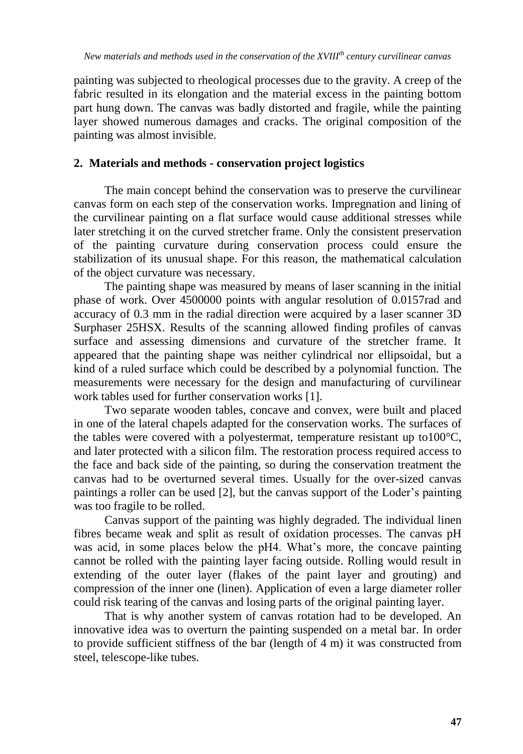painting was subjected to rheological processes due to the gravity. A creep of the fabric resulted in its elongation and the material excess in the painting bottom part hung down. The canvas was badly distorted and fragile, while the painting layer showed numerous damages and cracks. The original composition of the painting was almost invisible.

## **2. Materials and methods - conservation project logistics**

The main concept behind the conservation was to preserve the curvilinear canvas form on each step of the conservation works. Impregnation and lining of the curvilinear painting on a flat surface would cause additional stresses while later stretching it on the curved stretcher frame. Only the consistent preservation of the painting curvature during conservation process could ensure the stabilization of its unusual shape. For this reason, the mathematical calculation of the object curvature was necessary.

The painting shape was measured by means of laser scanning in the initial phase of work. Over 4500000 points with angular resolution of 0.0157rad and accuracy of 0.3 mm in the radial direction were acquired by a laser scanner 3D Surphaser 25HSX. Results of the scanning allowed finding profiles of canvas surface and assessing dimensions and curvature of the stretcher frame. It appeared that the painting shape was neither cylindrical nor ellipsoidal, but a kind of a ruled surface which could be described by a polynomial function. The measurements were necessary for the design and manufacturing of curvilinear work tables used for further conservation works [1].

Two separate wooden tables, concave and convex, were built and placed in one of the lateral chapels adapted for the conservation works. The surfaces of the tables were covered with a polyestermat, temperature resistant up to100°C, and later protected with a silicon film. The restoration process required access to the face and back side of the painting, so during the conservation treatment the canvas had to be overturned several times. Usually for the over-sized canvas paintings a roller can be used [2], but the canvas support of the Loder's painting was too fragile to be rolled.

Canvas support of the painting was highly degraded. The individual linen fibres became weak and split as result of oxidation processes. The canvas pH was acid, in some places below the pH4. What's more, the concave painting cannot be rolled with the painting layer facing outside. Rolling would result in extending of the outer layer (flakes of the paint layer and grouting) and compression of the inner one (linen). Application of even a large diameter roller could risk tearing of the canvas and losing parts of the original painting layer.

That is why another system of canvas rotation had to be developed. An innovative idea was to overturn the painting suspended on a metal bar. In order to provide sufficient stiffness of the bar (length of 4 m) it was constructed from steel, telescope-like tubes.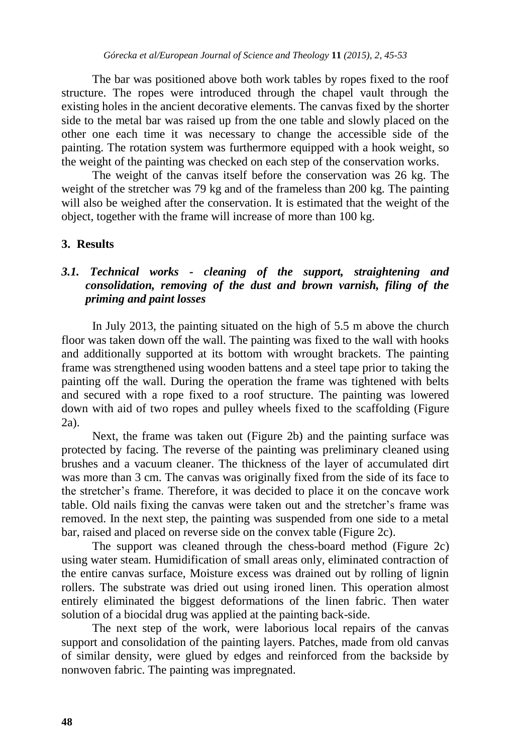The bar was positioned above both work tables by ropes fixed to the roof structure. The ropes were introduced through the chapel vault through the existing holes in the ancient decorative elements. The canvas fixed by the shorter side to the metal bar was raised up from the one table and slowly placed on the other one each time it was necessary to change the accessible side of the painting. The rotation system was furthermore equipped with a hook weight, so the weight of the painting was checked on each step of the conservation works.

The weight of the canvas itself before the conservation was 26 kg. The weight of the stretcher was 79 kg and of the frameless than 200 kg. The painting will also be weighed after the conservation. It is estimated that the weight of the object, together with the frame will increase of more than 100 kg.

#### **3. Results**

## *3.1. Technical works - cleaning of the support, straightening and consolidation, removing of the dust and brown varnish, filing of the priming and paint losses*

In July 2013, the painting situated on the high of 5.5 m above the church floor was taken down off the wall. The painting was fixed to the wall with hooks and additionally supported at its bottom with wrought brackets. The painting frame was strengthened using wooden battens and a steel tape prior to taking the painting off the wall. During the operation the frame was tightened with belts and secured with a rope fixed to a roof structure. The painting was lowered down with aid of two ropes and pulley wheels fixed to the scaffolding (Figure 2a).

Next, the frame was taken out (Figure 2b) and the painting surface was protected by facing. The reverse of the painting was preliminary cleaned using brushes and a vacuum cleaner. The thickness of the layer of accumulated dirt was more than 3 cm. The canvas was originally fixed from the side of its face to the stretcher's frame. Therefore, it was decided to place it on the concave work table. Old nails fixing the canvas were taken out and the stretcher's frame was removed. In the next step, the painting was suspended from one side to a metal bar, raised and placed on reverse side on the convex table (Figure 2c).

The support was cleaned through the chess-board method (Figure 2c) using water steam. Humidification of small areas only, eliminated contraction of the entire canvas surface, Moisture excess was drained out by rolling of lignin rollers. The substrate was dried out using ironed linen. This operation almost entirely eliminated the biggest deformations of the linen fabric. Then water solution of a biocidal drug was applied at the painting back-side.

The next step of the work, were laborious local repairs of the canvas support and consolidation of the painting layers. Patches, made from old canvas of similar density, were glued by edges and reinforced from the backside by nonwoven fabric. The painting was impregnated.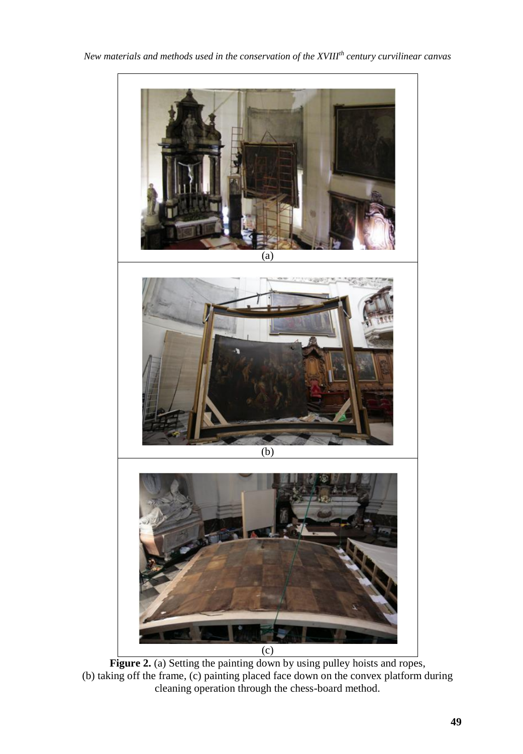

**Figure 2.** (a) Setting the painting down by using pulley hoists and ropes, (b) taking off the frame, (c) painting placed face down on the convex platform during cleaning operation through the chess-board method.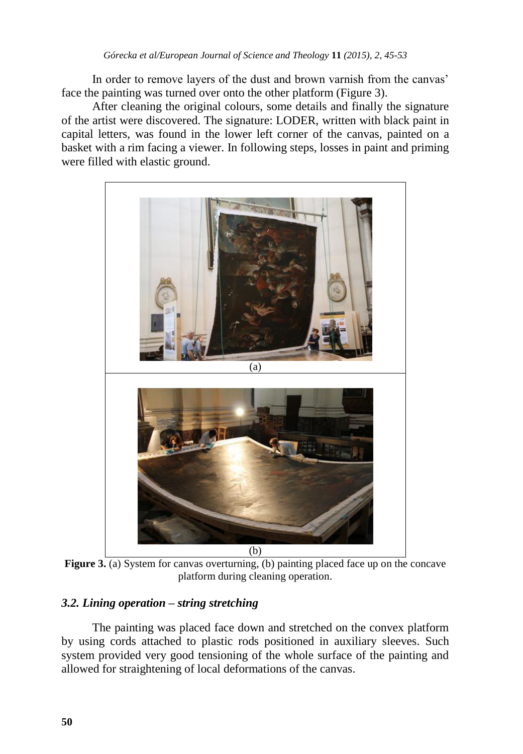In order to remove layers of the dust and brown varnish from the canvas' face the painting was turned over onto the other platform (Figure 3).

After cleaning the original colours, some details and finally the signature of the artist were discovered. The signature: LODER, written with black paint in capital letters, was found in the lower left corner of the canvas, painted on a basket with a rim facing a viewer. In following steps, losses in paint and priming were filled with elastic ground.



**Figure 3.** (a) System for canvas overturning, (b) painting placed face up on the concave platform during cleaning operation.

## *3.2. Lining operation – string stretching*

The painting was placed face down and stretched on the convex platform by using cords attached to plastic rods positioned in auxiliary sleeves. Such system provided very good tensioning of the whole surface of the painting and allowed for straightening of local deformations of the canvas.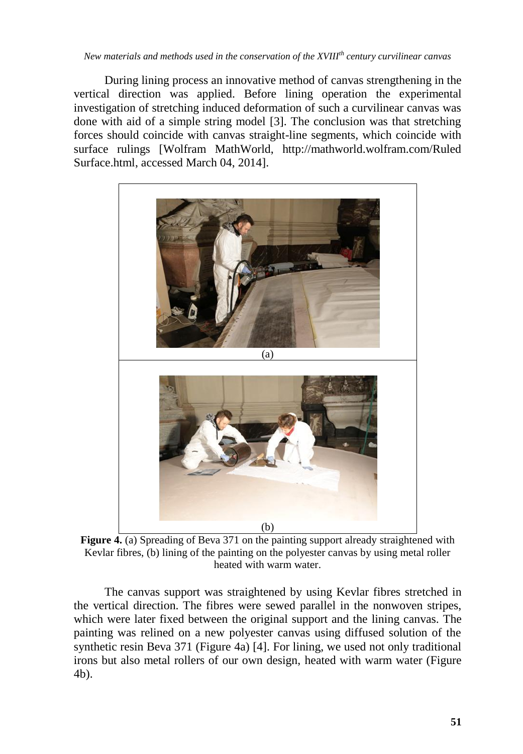*New materials and methods used in the conservation of the XVIIIth century curvilinear canvas* 

During lining process an innovative method of canvas strengthening in the vertical direction was applied. Before lining operation the experimental investigation of stretching induced deformation of such a curvilinear canvas was done with aid of a simple string model [3]. The conclusion was that stretching forces should coincide with canvas straight-line segments, which coincide with surface rulings [Wolfram MathWorld, http://mathworld.wolfram.com/Ruled Surface.html, accessed March 04, 2014].



**Figure** 4. (a) Spreading of Beva 371 on the painting support already straightened with Kevlar fibres, (b) lining of the painting on the polyester canvas by using metal roller heated with warm water.

The canvas support was straightened by using Kevlar fibres stretched in the vertical direction. The fibres were sewed parallel in the nonwoven stripes, which were later fixed between the original support and the lining canvas. The painting was relined on a new polyester canvas using diffused solution of the synthetic resin Beva 371 (Figure 4a) [4]. For lining, we used not only traditional irons but also metal rollers of our own design, heated with warm water (Figure 4b).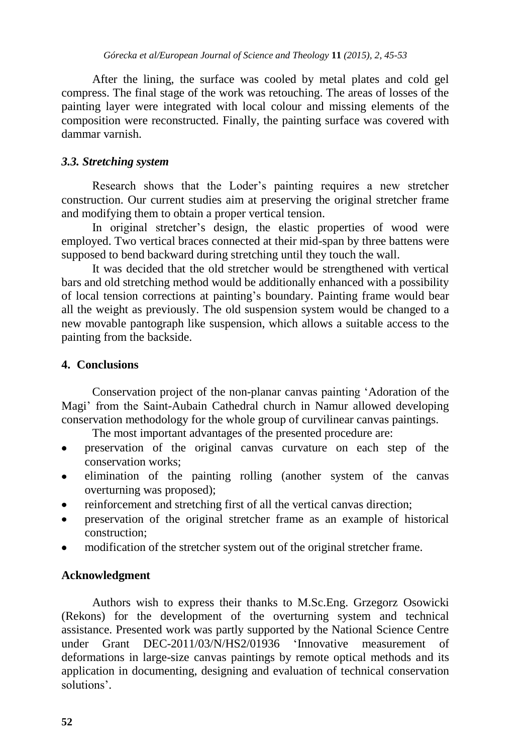After the lining, the surface was cooled by metal plates and cold gel compress. The final stage of the work was retouching. The areas of losses of the painting layer were integrated with local colour and missing elements of the composition were reconstructed. Finally, the painting surface was covered with dammar varnish.

## *3.3. Stretching system*

Research shows that the Loder's painting requires a new stretcher construction. Our current studies aim at preserving the original stretcher frame and modifying them to obtain a proper vertical tension.

In original stretcher's design, the elastic properties of wood were employed. Two vertical braces connected at their mid-span by three battens were supposed to bend backward during stretching until they touch the wall.

It was decided that the old stretcher would be strengthened with vertical bars and old stretching method would be additionally enhanced with a possibility of local tension corrections at painting's boundary. Painting frame would bear all the weight as previously. The old suspension system would be changed to a new movable pantograph like suspension, which allows a suitable access to the painting from the backside.

## **4. Conclusions**

Conservation project of the non-planar canvas painting 'Adoration of the Magi' from the Saint-Aubain Cathedral church in Namur allowed developing conservation methodology for the whole group of curvilinear canvas paintings.

The most important advantages of the presented procedure are:

- preservation of the original canvas curvature on each step of the conservation works;
- elimination of the painting rolling (another system of the canvas overturning was proposed);
- reinforcement and stretching first of all the vertical canvas direction;
- preservation of the original stretcher frame as an example of historical  $\bullet$ construction;
- modification of the stretcher system out of the original stretcher frame.

## **Acknowledgment**

Authors wish to express their thanks to M.Sc.Eng. Grzegorz Osowicki (Rekons) for the development of the overturning system and technical assistance. Presented work was partly supported by the National Science Centre under Grant DEC-2011/03/N/HS2/01936 'Innovative measurement of deformations in large-size canvas paintings by remote optical methods and its application in documenting, designing and evaluation of technical conservation solutions'.